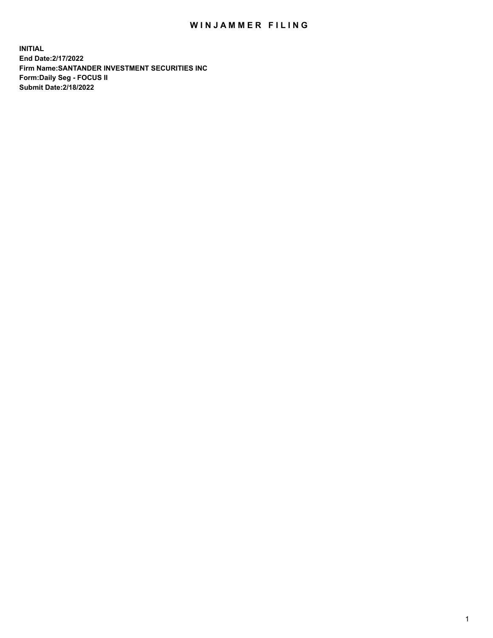## WIN JAMMER FILING

**INITIAL End Date:2/17/2022 Firm Name:SANTANDER INVESTMENT SECURITIES INC Form:Daily Seg - FOCUS II Submit Date:2/18/2022**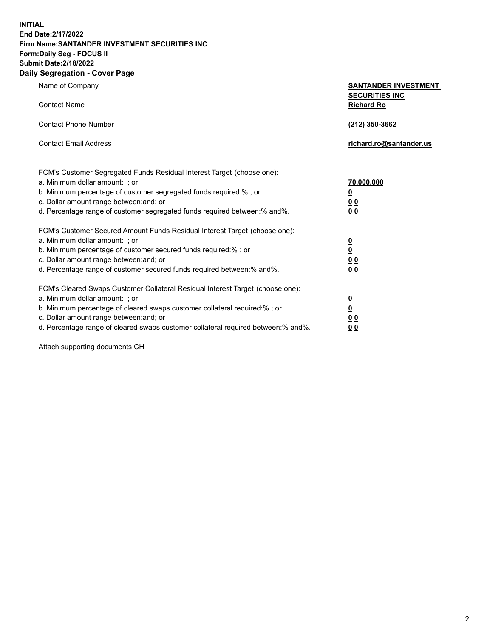**INITIAL End Date:2/17/2022 Firm Name:SANTANDER INVESTMENT SECURITIES INC Form:Daily Seg - FOCUS II Submit Date:2/18/2022 Daily Segregation - Cover Page**

Name of Company **SANTANDER INVESTMENT SECURITIES INC** Contact Name **Richard Ro** Contact Phone Number **(212) 350-3662** Contact Email Address **richard.ro@santander.us** FCM's Customer Segregated Funds Residual Interest Target (choose one): a. Minimum dollar amount: ; or **70,000,000** b. Minimum percentage of customer segregated funds required:% ; or **0** c. Dollar amount range between:and; or **0 0** d. Percentage range of customer segregated funds required between:% and%. **0 0** FCM's Customer Secured Amount Funds Residual Interest Target (choose one): a. Minimum dollar amount: ; or **0** b. Minimum percentage of customer secured funds required:% ; or **0** c. Dollar amount range between:and; or **0 0** d. Percentage range of customer secured funds required between:% and%. **0 0** FCM's Cleared Swaps Customer Collateral Residual Interest Target (choose one): a. Minimum dollar amount: ; or **0** b. Minimum percentage of cleared swaps customer collateral required:% ; or **0** c. Dollar amount range between:and; or **0 0**

d. Percentage range of cleared swaps customer collateral required between:% and%. **0 0**

Attach supporting documents CH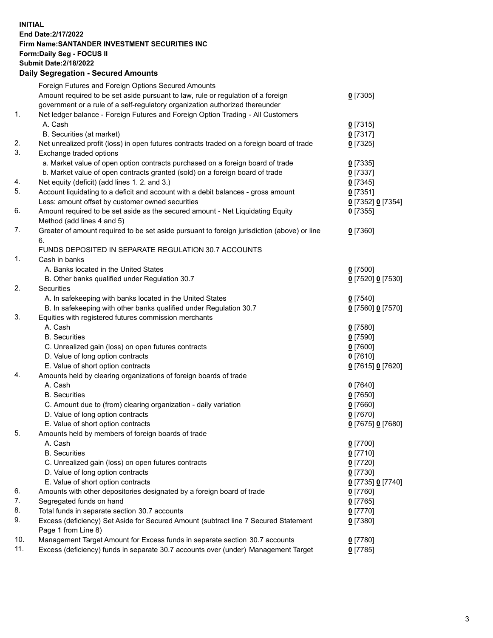## **INITIAL End Date:2/17/2022 Firm Name:SANTANDER INVESTMENT SECURITIES INC Form:Daily Seg - FOCUS II Submit Date:2/18/2022 Daily Segregation - Secured Amounts**

|     | Foreign Futures and Foreign Options Secured Amounts                                         |                   |
|-----|---------------------------------------------------------------------------------------------|-------------------|
|     | Amount required to be set aside pursuant to law, rule or regulation of a foreign            | $0$ [7305]        |
|     | government or a rule of a self-regulatory organization authorized thereunder                |                   |
| 1.  | Net ledger balance - Foreign Futures and Foreign Option Trading - All Customers             |                   |
|     | A. Cash                                                                                     | $0$ [7315]        |
|     | B. Securities (at market)                                                                   | $0$ [7317]        |
| 2.  | Net unrealized profit (loss) in open futures contracts traded on a foreign board of trade   | $0$ [7325]        |
| 3.  | Exchange traded options                                                                     |                   |
|     | a. Market value of open option contracts purchased on a foreign board of trade              | $0$ [7335]        |
|     | b. Market value of open contracts granted (sold) on a foreign board of trade                | $0$ [7337]        |
| 4.  | Net equity (deficit) (add lines 1. 2. and 3.)                                               | $0$ [7345]        |
| 5.  | Account liquidating to a deficit and account with a debit balances - gross amount           | $0$ [7351]        |
|     | Less: amount offset by customer owned securities                                            | 0 [7352] 0 [7354] |
| 6.  | Amount required to be set aside as the secured amount - Net Liquidating Equity              | $0$ [7355]        |
|     | Method (add lines 4 and 5)                                                                  |                   |
| 7.  | Greater of amount required to be set aside pursuant to foreign jurisdiction (above) or line | $0$ [7360]        |
|     | 6.                                                                                          |                   |
|     | FUNDS DEPOSITED IN SEPARATE REGULATION 30.7 ACCOUNTS                                        |                   |
| 1.  | Cash in banks                                                                               |                   |
|     | A. Banks located in the United States                                                       | $0$ [7500]        |
|     | B. Other banks qualified under Regulation 30.7                                              | 0 [7520] 0 [7530] |
| 2.  | <b>Securities</b>                                                                           |                   |
|     | A. In safekeeping with banks located in the United States                                   | $0$ [7540]        |
|     | B. In safekeeping with other banks qualified under Regulation 30.7                          | 0 [7560] 0 [7570] |
| 3.  | Equities with registered futures commission merchants                                       |                   |
|     | A. Cash                                                                                     | $0$ [7580]        |
|     | <b>B.</b> Securities                                                                        | $0$ [7590]        |
|     | C. Unrealized gain (loss) on open futures contracts                                         | $0$ [7600]        |
|     | D. Value of long option contracts                                                           | $0$ [7610]        |
|     | E. Value of short option contracts                                                          | 0 [7615] 0 [7620] |
| 4.  | Amounts held by clearing organizations of foreign boards of trade                           |                   |
|     | A. Cash                                                                                     | $0$ [7640]        |
|     | <b>B.</b> Securities                                                                        | $0$ [7650]        |
|     | C. Amount due to (from) clearing organization - daily variation                             | $0$ [7660]        |
|     | D. Value of long option contracts                                                           | $0$ [7670]        |
|     | E. Value of short option contracts                                                          | 0 [7675] 0 [7680] |
| 5.  | Amounts held by members of foreign boards of trade                                          |                   |
|     | A. Cash                                                                                     | $0$ [7700]        |
|     | <b>B.</b> Securities                                                                        | $0$ [7710]        |
|     | C. Unrealized gain (loss) on open futures contracts                                         | $0$ [7720]        |
|     | D. Value of long option contracts                                                           | $0$ [7730]        |
|     | E. Value of short option contracts                                                          | 0 [7735] 0 [7740] |
| 6.  | Amounts with other depositories designated by a foreign board of trade                      | $0$ [7760]        |
| 7.  | Segregated funds on hand                                                                    | $0$ [7765]        |
| 8.  | Total funds in separate section 30.7 accounts                                               | $0$ [7770]        |
| 9.  | Excess (deficiency) Set Aside for Secured Amount (subtract line 7 Secured Statement         | $0$ [7380]        |
|     | Page 1 from Line 8)                                                                         |                   |
| 10. | Management Target Amount for Excess funds in separate section 30.7 accounts                 | $0$ [7780]        |
| 11. | Excess (deficiency) funds in separate 30.7 accounts over (under) Management Target          | $0$ [7785]        |
|     |                                                                                             |                   |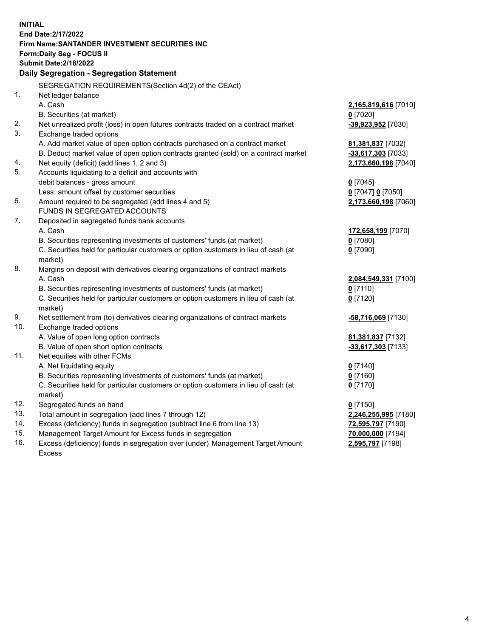| <b>INITIAL</b> |                                                                                            |                      |  |  |  |
|----------------|--------------------------------------------------------------------------------------------|----------------------|--|--|--|
|                | End Date: 2/17/2022                                                                        |                      |  |  |  |
|                | Firm Name: SANTANDER INVESTMENT SECURITIES INC                                             |                      |  |  |  |
|                | Form: Daily Seg - FOCUS II                                                                 |                      |  |  |  |
|                | <b>Submit Date: 2/18/2022</b>                                                              |                      |  |  |  |
|                | Daily Segregation - Segregation Statement                                                  |                      |  |  |  |
|                | SEGREGATION REQUIREMENTS(Section 4d(2) of the CEAct)                                       |                      |  |  |  |
| 1.             | Net ledger balance                                                                         |                      |  |  |  |
|                | A. Cash                                                                                    | 2,165,819,616 [7010] |  |  |  |
|                | B. Securities (at market)                                                                  | $0$ [7020]           |  |  |  |
| 2.             | Net unrealized profit (loss) in open futures contracts traded on a contract market         | -39,923,952 [7030]   |  |  |  |
| 3.             | Exchange traded options                                                                    |                      |  |  |  |
|                | A. Add market value of open option contracts purchased on a contract market                | 81,381,837 [7032]    |  |  |  |
|                | B. Deduct market value of open option contracts granted (sold) on a contract market        | -33,617,303 [7033]   |  |  |  |
| 4.             | Net equity (deficit) (add lines 1, 2 and 3)                                                | 2,173,660,198 [7040] |  |  |  |
| 5.             | Accounts liquidating to a deficit and accounts with                                        |                      |  |  |  |
|                | debit balances - gross amount                                                              | $0$ [7045]           |  |  |  |
|                | Less: amount offset by customer securities                                                 | 0 [7047] 0 [7050]    |  |  |  |
| 6.             | Amount required to be segregated (add lines 4 and 5)                                       | 2,173,660,198 [7060] |  |  |  |
|                | FUNDS IN SEGREGATED ACCOUNTS                                                               |                      |  |  |  |
| 7.             | Deposited in segregated funds bank accounts                                                |                      |  |  |  |
|                | A. Cash                                                                                    | 172,658,199 [7070]   |  |  |  |
|                | B. Securities representing investments of customers' funds (at market)                     | $0$ [7080]           |  |  |  |
|                | C. Securities held for particular customers or option customers in lieu of cash (at        | $0$ [7090]           |  |  |  |
|                | market)                                                                                    |                      |  |  |  |
| 8.             | Margins on deposit with derivatives clearing organizations of contract markets             |                      |  |  |  |
|                | A. Cash                                                                                    | 2,084,549,331 [7100] |  |  |  |
|                | B. Securities representing investments of customers' funds (at market)                     | $0$ [7110]           |  |  |  |
|                | C. Securities held for particular customers or option customers in lieu of cash (at        | $0$ [7120]           |  |  |  |
| 9.             | market)<br>Net settlement from (to) derivatives clearing organizations of contract markets | -58,716,069 [7130]   |  |  |  |
| 10.            | Exchange traded options                                                                    |                      |  |  |  |
|                | A. Value of open long option contracts                                                     | 81,381,837 [7132]    |  |  |  |
|                | B. Value of open short option contracts                                                    | -33,617,303 [7133]   |  |  |  |
| 11.            | Net equities with other FCMs                                                               |                      |  |  |  |
|                | A. Net liquidating equity                                                                  | $0$ [7140]           |  |  |  |
|                | B. Securities representing investments of customers' funds (at market)                     | $0$ [7160]           |  |  |  |
|                | C. Securities held for particular customers or option customers in lieu of cash (at        | $0$ [7170]           |  |  |  |
|                | market)                                                                                    |                      |  |  |  |
| 12.            | Segregated funds on hand                                                                   | $0$ [7150]           |  |  |  |
| 13.            | Total amount in segregation (add lines 7 through 12)                                       | 2,246,255,995 [7180] |  |  |  |
| 14.            | Excess (deficiency) funds in segregation (subtract line 6 from line 13)                    | 72,595,797 [7190]    |  |  |  |
| 15.            | Management Target Amount for Excess funds in segregation                                   | 70,000,000 [7194]    |  |  |  |
| 16.            | Excess (deficiency) funds in segregation over (under) Management Target Amount             | 2,595,797 [7198]     |  |  |  |
|                | <b>Excess</b>                                                                              |                      |  |  |  |